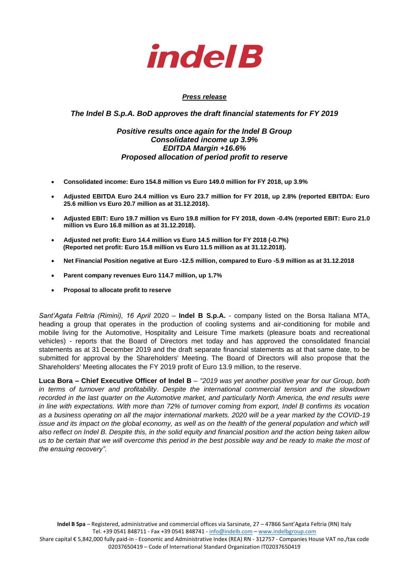

# *Press release*

*The Indel B S.p.A. BoD approves the draft financial statements for FY 2019*

# *Positive results once again for the Indel B Group Consolidated income up 3.9% EDITDA Margin +16.6% Proposed allocation of period profit to reserve*

- **Consolidated income: Euro 154.8 million vs Euro 149.0 million for FY 2018, up 3.9%**
- **Adjusted EBITDA Euro 24.4 million vs Euro 23.7 million for FY 2018, up 2.8% (reported EBITDA: Euro 25.6 million vs Euro 20.7 million as at 31.12.2018).**
- **Adjusted EBIT: Euro 19.7 million vs Euro 19.8 million for FY 2018, down -0.4% (reported EBIT: Euro 21.0 million vs Euro 16.8 million as at 31.12.2018).**
- **Adjusted net profit: Euro 14.4 million vs Euro 14.5 million for FY 2018 (-0.7%) (Reported net profit: Euro 15.8 million vs Euro 11.5 million as at 31.12.2018).**
- **Net Financial Position negative at Euro -12.5 million, compared to Euro -5.9 million as at 31.12.2018**
- **Parent company revenues Euro 114.7 million, up 1.7%**
- **Proposal to allocate profit to reserve**

*Sant'Agata Feltria (Rimini), 16 April* 2020 – **Indel B S.p.A.** - company listed on the Borsa Italiana MTA, heading a group that operates in the production of cooling systems and air-conditioning for mobile and mobile living for the Automotive, Hospitality and Leisure Time markets (pleasure boats and recreational vehicles) - reports that the Board of Directors met today and has approved the consolidated financial statements as at 31 December 2019 and the draft separate financial statements as at that same date, to be submitted for approval by the Shareholders' Meeting. The Board of Directors will also propose that the Shareholders' Meeting allocates the FY 2019 profit of Euro 13.9 million, to the reserve.

**Luca Bora – Chief Executive Officer of Indel B** – *"2019 was yet another positive year for our Group, both in terms of turnover and profitability*. *Despite the international commercial tension and the slowdown recorded in the last quarter on the Automotive market, and particularly North America, the end results were in line with expectations. With more than 72% of turnover coming from export, Indel B confirms its vocation as a business operating on all the major international markets. 2020 will be a year marked by the COVID-19 issue and its impact on the global economy, as well as on the health of the general population and which will also reflect on Indel B. Despite this, in the solid equity and financial position and the action being taken allow us to be certain that we will overcome this period in the best possible way and be ready to make the most of the ensuing recovery".*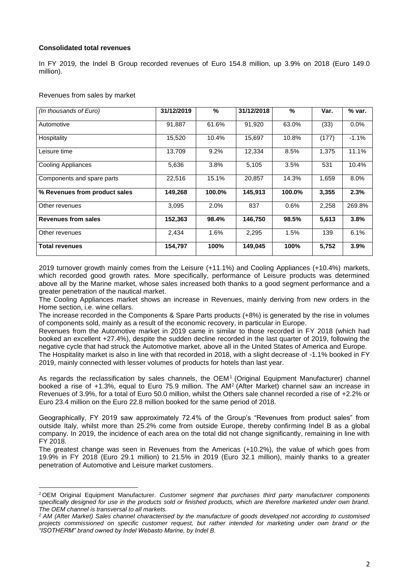# **Consolidated total revenues**

In FY 2019, the Indel B Group recorded revenues of Euro 154.8 million, up 3.9% on 2018 (Euro 149.0 million).

# Revenues from sales by market

| (In thousands of Euro)        | 31/12/2019 | $\frac{0}{0}$ | 31/12/2018 | $\%$   | Var.  | % var.  |
|-------------------------------|------------|---------------|------------|--------|-------|---------|
| Automotive                    | 91,887     | 61.6%         | 91,920     | 63.0%  | (33)  | 0.0%    |
| Hospitality                   | 15,520     | 10.4%         | 15,697     | 10.8%  | (177) | $-1.1%$ |
| Leisure time                  | 13,709     | 9.2%          | 12,334     | 8.5%   | 1,375 | 11.1%   |
| <b>Cooling Appliances</b>     | 5,636      | 3.8%          | 5,105      | 3.5%   | 531   | 10.4%   |
| Components and spare parts    | 22,516     | 15.1%         | 20.857     | 14.3%  | 1,659 | 8.0%    |
| % Revenues from product sales | 149,268    | 100.0%        | 145,913    | 100.0% | 3,355 | 2.3%    |
| Other revenues                | 3,095      | 2.0%          | 837        | 0.6%   | 2,258 | 269.8%  |
| <b>Revenues from sales</b>    | 152,363    | 98.4%         | 146,750    | 98.5%  | 5,613 | 3.8%    |
| Other revenues                | 2,434      | 1.6%          | 2,295      | 1.5%   | 139   | 6.1%    |
| <b>Total revenues</b>         | 154,797    | 100%          | 149,045    | 100%   | 5,752 | 3.9%    |

2019 turnover growth mainly comes from the Leisure (+11.1%) and Cooling Appliances (+10.4%) markets, which recorded good growth rates. More specifically, performance of Leisure products was determined above all by the Marine market, whose sales increased both thanks to a good segment performance and a greater penetration of the nautical market.

The Cooling Appliances market shows an increase in Revenues, mainly deriving from new orders in the Home section, i.e. wine cellars.

The increase recorded in the Components & Spare Parts products (+8%) is generated by the rise in volumes of components sold, mainly as a result of the economic recovery, in particular in Europe.

Revenues from the Automotive market in 2019 came in similar to those recorded in FY 2018 (which had booked an excellent +27.4%), despite the sudden decline recorded in the last quarter of 2019, following the negative cycle that had struck the Automotive market, above all in the United States of America and Europe. The Hospitality market is also in line with that recorded in 2018, with a slight decrease of -1.1% booked in FY 2019, mainly connected with lesser volumes of products for hotels than last year.

As regards the reclassification by sales channels, the OEM<sup>1</sup> (Original Equipment Manufacturer) channel booked a rise of +1.3%, equal to Euro 75.9 million. The AM<sup>2</sup> (After Market) channel saw an increase in Revenues of 3.9%, for a total of Euro 50.0 million, whilst the Others sale channel recorded a rise of +2.2% or Euro 23.4 million on the Euro 22.8 million booked for the same period of 2018.

Geographically, FY 2019 saw approximately 72.4% of the Group's "Revenues from product sales" from outside Italy, whilst more than 25.2% come from outside Europe, thereby confirming Indel B as a global company. In 2019, the incidence of each area on the total did not change significantly, remaining in line with FY 2018.

The greatest change was seen in Revenues from the Americas (+10.2%), the value of which goes from 19.9% in FY 2018 (Euro 29.1 million) to 21.5% in 2019 (Euro 32.1 million), mainly thanks to a greater penetration of Automotive and Leisure market customers.

*<sup>1</sup>*OEM Original Equipment Manufacturer. *Customer segment that purchases third party manufacturer components*  specifically designed for use in the products sold or finished products, which are therefore marketed under own brand. *The OEM channel is transversal to all markets.*

*<sup>2</sup> AM (After Market) Sales channel characterised by the manufacture of goods developed not according to customised projects commissioned on specific customer request, but rather intended for marketing under own brand or the "ISOTHERM" brand owned by Indel Webasto Marine, by Indel B.*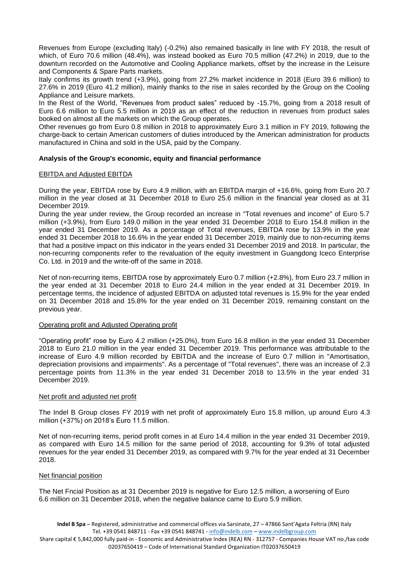Revenues from Europe (excluding Italy) (-0.2%) also remained basically in line with FY 2018, the result of which, of Euro 70.6 million (48.4%), was instead booked as Euro 70.5 million (47.2%) in 2019, due to the downturn recorded on the Automotive and Cooling Appliance markets, offset by the increase in the Leisure and Components & Spare Parts markets.

Italy confirms its growth trend (+3.9%), going from 27.2% market incidence in 2018 (Euro 39.6 million) to 27.6% in 2019 (Euro 41.2 million), mainly thanks to the rise in sales recorded by the Group on the Cooling Appliance and Leisure markets.

In the Rest of the World, "Revenues from product sales" reduced by -15.7%, going from a 2018 result of Euro 6.6 million to Euro 5.5 million in 2019 as an effect of the reduction in revenues from product sales booked on almost all the markets on which the Group operates.

Other revenues go from Euro 0.8 million in 2018 to approximately Euro 3.1 million in FY 2019, following the charge-back to certain American customers of duties introduced by the American administration for products manufactured in China and sold in the USA, paid by the Company.

# **Analysis of the Group's economic, equity and financial performance**

#### EBITDA and Adjusted EBITDA

During the year, EBITDA rose by Euro 4.9 million, with an EBITDA margin of +16.6%, going from Euro 20.7 million in the year closed at 31 December 2018 to Euro 25.6 million in the financial year closed as at 31 December 2019.

During the year under review, the Group recorded an increase in "Total revenues and income" of Euro 5.7 million (+3.9%), from Euro 149.0 million in the year ended 31 December 2018 to Euro 154.8 million in the year ended 31 December 2019. As a percentage of Total revenues, EBITDA rose by 13.9% in the year ended 31 December 2018 to 16.6% in the year ended 31 December 2019, mainly due to non-recurring items that had a positive impact on this indicator in the years ended 31 December 2019 and 2018. In particular, the non-recurring components refer to the revaluation of the equity investment in Guangdong Iceco Enterprise Co. Ltd. in 2019 and the write-off of the same in 2018.

Net of non-recurring items, EBITDA rose by approximately Euro 0.7 million (+2.8%), from Euro 23.7 million in the year ended at 31 December 2018 to Euro 24.4 million in the year ended at 31 December 2019. In percentage terms, the incidence of adjusted EBITDA on adjusted total revenues is 15.9% for the year ended on 31 December 2018 and 15.8% for the year ended on 31 December 2019, remaining constant on the previous year.

#### Operating profit and Adjusted Operating profit

"Operating profit" rose by Euro 4.2 million (+25.0%), from Euro 16.8 million in the year ended 31 December 2018 to Euro 21.0 million in the year ended 31 December 2019. This performance was attributable to the increase of Euro 4.9 million recorded by EBITDA and the increase of Euro 0.7 million in "Amortisation, depreciation provisions and impairments". As a percentage of "Total revenues", there was an increase of 2.3 percentage points from 11.3% in the year ended 31 December 2018 to 13.5% in the year ended 31 December 2019.

#### Net profit and adjusted net profit

The Indel B Group closes FY 2019 with net profit of approximately Euro 15.8 million, up around Euro 4.3 million (+37%) on 2018's Euro 11.5 million.

Net of non-recurring items, period profit comes in at Euro 14.4 million in the year ended 31 December 2019, as compared with Euro 14.5 million for the same period of 2018, accounting for 9.3% of total adjusted revenues for the year ended 31 December 2019, as compared with 9.7% for the year ended at 31 December 2018.

#### Net financial position

The Net Fncial Position as at 31 December 2019 is negative for Euro 12.5 million, a worsening of Euro 6.6 million on 31 December 2018, when the negative balance came to Euro 5.9 million.

Share capital € 5,842,000 fully paid-in - Economic and Administrative Index (REA) RN - 312757 - Companies House VAT no./tax code 02037650419 – Code of International Standard Organization IT02037650419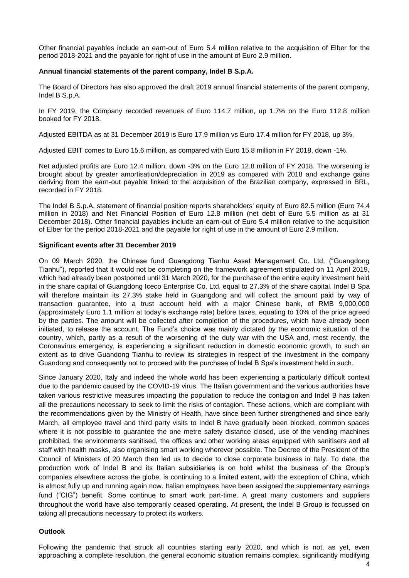Other financial payables include an earn-out of Euro 5.4 million relative to the acquisition of Elber for the period 2018-2021 and the payable for right of use in the amount of Euro 2.9 million.

#### **Annual financial statements of the parent company, Indel B S.p.A.**

The Board of Directors has also approved the draft 2019 annual financial statements of the parent company, Indel B S.p.A.

In FY 2019, the Company recorded revenues of Euro 114.7 million, up 1.7% on the Euro 112.8 million booked for FY 2018.

Adjusted EBITDA as at 31 December 2019 is Euro 17.9 million vs Euro 17.4 million for FY 2018, up 3%.

Adjusted EBIT comes to Euro 15.6 million, as compared with Euro 15.8 million in FY 2018, down -1%.

Net adjusted profits are Euro 12.4 million, down -3% on the Euro 12.8 million of FY 2018. The worsening is brought about by greater amortisation/depreciation in 2019 as compared with 2018 and exchange gains deriving from the earn-out payable linked to the acquisition of the Brazilian company, expressed in BRL, recorded in FY 2018.

The Indel B S.p.A. statement of financial position reports shareholders' equity of Euro 82.5 million (Euro 74.4 million in 2018) and Net Financial Position of Euro 12.8 million (net debt of Euro 5.5 million as at 31 December 2018). Other financial payables include an earn-out of Euro 5.4 million relative to the acquisition of Elber for the period 2018-2021 and the payable for right of use in the amount of Euro 2.9 million.

#### **Significant events after 31 December 2019**

On 09 March 2020, the Chinese fund Guangdong Tianhu Asset Management Co. Ltd, ("Guangdong Tianhu"), reported that it would not be completing on the framework agreement stipulated on 11 April 2019, which had already been postponed until 31 March 2020, for the purchase of the entire equity investment held in the share capital of Guangdong Iceco Enterprise Co. Ltd, equal to 27.3% of the share capital. Indel B Spa will therefore maintain its 27.3% stake held in Guangdong and will collect the amount paid by way of transaction guarantee, into a trust account held with a major Chinese bank, of RMB 9,000,000 (approximately Euro 1.1 million at today's exchange rate) before taxes, equating to 10% of the price agreed by the parties. The amount will be collected after completion of the procedures, which have already been initiated, to release the account. The Fund's choice was mainly dictated by the economic situation of the country, which, partly as a result of the worsening of the duty war with the USA and, most recently, the Coronavirus emergency, is experiencing a significant reduction in domestic economic growth, to such an extent as to drive Guandong Tianhu to review its strategies in respect of the investment in the company Guandong and consequently not to proceed with the purchase of Indel B Spa's investment held in such.

Since January 2020, Italy and indeed the whole world has been experiencing a particularly difficult context due to the pandemic caused by the COVID-19 virus. The Italian government and the various authorities have taken various restrictive measures impacting the population to reduce the contagion and Indel B has taken all the precautions necessary to seek to limit the risks of contagion. These actions, which are compliant with the recommendations given by the Ministry of Health, have since been further strengthened and since early March, all employee travel and third party visits to Indel B have gradually been blocked, common spaces where it is not possible to guarantee the one metre safety distance closed, use of the vending machines prohibited, the environments sanitised, the offices and other working areas equipped with sanitisers and all staff with health masks, also organising smart working wherever possible. The Decree of the President of the Council of Ministers of 20 March then led us to decide to close corporate business in Italy. To date, the production work of Indel B and its Italian subsidiaries is on hold whilst the business of the Group's companies elsewhere across the globe, is continuing to a limited extent, with the exception of China, which is almost fully up and running again now. Italian employees have been assigned the supplementary earnings fund ("CIG") benefit. Some continue to smart work part-time. A great many customers and suppliers throughout the world have also temporarily ceased operating. At present, the Indel B Group is focussed on taking all precautions necessary to protect its workers.

#### **Outlook**

Following the pandemic that struck all countries starting early 2020, and which is not, as yet, even approaching a complete resolution, the general economic situation remains complex, significantly modifying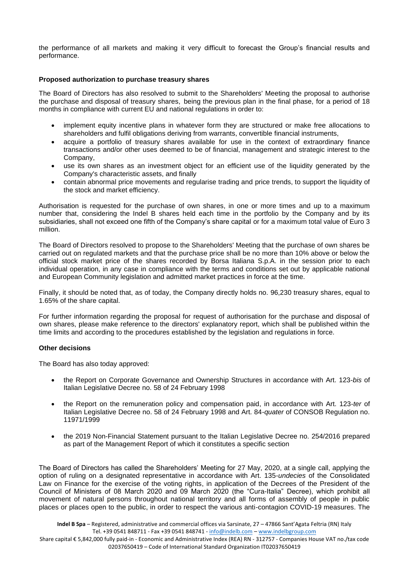the performance of all markets and making it very difficult to forecast the Group's financial results and performance.

## **Proposed authorization to purchase treasury shares**

The Board of Directors has also resolved to submit to the Shareholders' Meeting the proposal to authorise the purchase and disposal of treasury shares, being the previous plan in the final phase, for a period of 18 months in compliance with current EU and national regulations in order to:

- implement equity incentive plans in whatever form they are structured or make free allocations to shareholders and fulfil obligations deriving from warrants, convertible financial instruments,
- acquire a portfolio of treasury shares available for use in the context of extraordinary finance transactions and/or other uses deemed to be of financial, management and strategic interest to the Company,
- use its own shares as an investment object for an efficient use of the liquidity generated by the Company's characteristic assets, and finally
- contain abnormal price movements and regularise trading and price trends, to support the liquidity of the stock and market efficiency.

Authorisation is requested for the purchase of own shares, in one or more times and up to a maximum number that, considering the Indel B shares held each time in the portfolio by the Company and by its subsidiaries, shall not exceed one fifth of the Company's share capital or for a maximum total value of Euro 3 million.

The Board of Directors resolved to propose to the Shareholders' Meeting that the purchase of own shares be carried out on regulated markets and that the purchase price shall be no more than 10% above or below the official stock market price of the shares recorded by Borsa Italiana S.p.A. in the session prior to each individual operation, in any case in compliance with the terms and conditions set out by applicable national and European Community legislation and admitted market practices in force at the time.

Finally, it should be noted that, as of today, the Company directly holds no. 96,230 treasury shares, equal to 1.65% of the share capital.

For further information regarding the proposal for request of authorisation for the purchase and disposal of own shares, please make reference to the directors' explanatory report, which shall be published within the time limits and according to the procedures established by the legislation and regulations in force.

#### **Other decisions**

The Board has also today approved:

- the Report on Corporate Governance and Ownership Structures in accordance with Art. 123-*bis* of Italian Legislative Decree no. 58 of 24 February 1998
- the Report on the remuneration policy and compensation paid, in accordance with Art. 123-*ter* of Italian Legislative Decree no. 58 of 24 February 1998 and Art. 84-*quater* of CONSOB Regulation no. 11971/1999
- the 2019 Non-Financial Statement pursuant to the Italian Legislative Decree no. 254/2016 prepared as part of the Management Report of which it constitutes a specific section

The Board of Directors has called the Shareholders' Meeting for 27 May, 2020, at a single call, applying the option of ruling on a designated representative in accordance with Art. 135-*undecies* of the Consolidated Law on Finance for the exercise of the voting rights, in application of the Decrees of the President of the Council of Ministers of 08 March 2020 and 09 March 2020 (the "Cura-Italia" Decree), which prohibit all movement of natural persons throughout national territory and all forms of assembly of people in public places or places open to the public, in order to respect the various anti-contagion COVID-19 measures. The

Share capital € 5,842,000 fully paid-in - Economic and Administrative Index (REA) RN - 312757 - Companies House VAT no./tax code 02037650419 – Code of International Standard Organization IT02037650419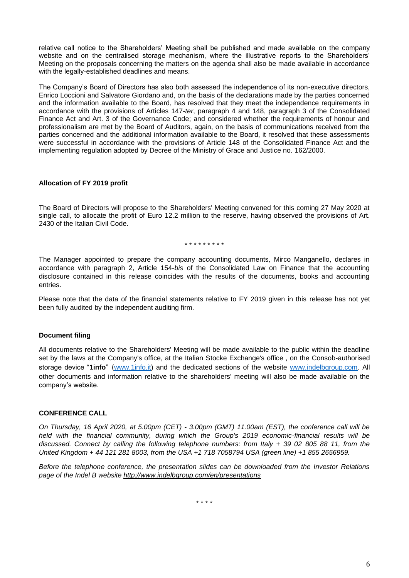relative call notice to the Shareholders' Meeting shall be published and made available on the company website and on the centralised storage mechanism, where the illustrative reports to the Shareholders' Meeting on the proposals concerning the matters on the agenda shall also be made available in accordance with the legally-established deadlines and means.

The Company's Board of Directors has also both assessed the independence of its non-executive directors, Enrico Loccioni and Salvatore Giordano and, on the basis of the declarations made by the parties concerned and the information available to the Board, has resolved that they meet the independence requirements in accordance with the provisions of Articles 147-*ter*, paragraph 4 and 148, paragraph 3 of the Consolidated Finance Act and Art. 3 of the Governance Code; and considered whether the requirements of honour and professionalism are met by the Board of Auditors, again, on the basis of communications received from the parties concerned and the additional information available to the Board, it resolved that these assessments were successful in accordance with the provisions of Article 148 of the Consolidated Finance Act and the implementing regulation adopted by Decree of the Ministry of Grace and Justice no. 162/2000.

## **Allocation of FY 2019 profit**

The Board of Directors will propose to the Shareholders' Meeting convened for this coming 27 May 2020 at single call, to allocate the profit of Euro 12.2 million to the reserve, having observed the provisions of Art. 2430 of the Italian Civil Code.

## \* \* \* \* \* \* \* \* \*

The Manager appointed to prepare the company accounting documents, Mirco Manganello, declares in accordance with paragraph 2, Article 154-*bis* of the Consolidated Law on Finance that the accounting disclosure contained in this release coincides with the results of the documents, books and accounting entries.

Please note that the data of the financial statements relative to FY 2019 given in this release has not yet been fully audited by the independent auditing firm.

## **Document filing**

All documents relative to the Shareholders' Meeting will be made available to the public within the deadline set by the laws at the Company's office, at the Italian Stocke Exchange's office , on the Consob-authorised storage device "**1info**" ([www.1info.it\)](file:///C:/Users/paols/AppData/Local/Microsoft/Windows/INetCache/Content.Outlook/QB1LYT4T/www.1info.it) and the dedicated sections of the website [www.indelbgroup.com.](file:///C:/Users/paols/AppData/Local/Microsoft/Windows/INetCache/Content.Outlook/QB1LYT4T/www.indelbgroup.com) All other documents and information relative to the shareholders' meeting will also be made available on the company's website.

## **CONFERENCE CALL**

*On Thursday, 16 April 2020, at 5.00pm (CET) - 3.00pm (GMT) 11.00am (EST), the conference call will be held with the financial community, during which the Group's 2019 economic-financial results will be discussed. Connect by calling the following telephone numbers: from Italy + 39 02 805 88 11, from the United Kingdom + 44 121 281 8003, from the USA +1 718 7058794 USA (green line) +1 855 2656959.*

*Before the telephone conference, the presentation slides can be downloaded from the Investor Relations page of the Indel B website [http://www.indelbgroup.com/en/presentations](http://www.indelbgroup.com/en/en/presentations)*

\* \* \* \*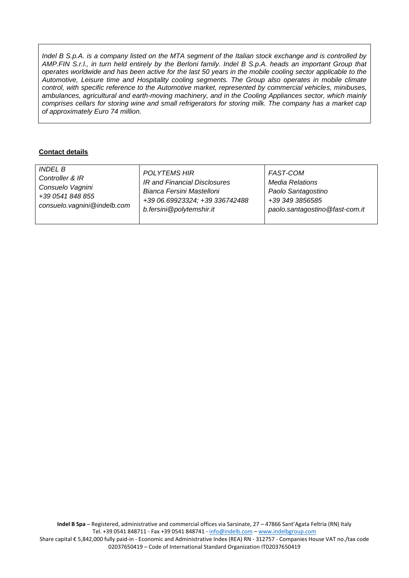*Indel B S.p.A. is a company listed on the MTA segment of the Italian stock exchange and is controlled by AMP.FIN S.r.l., in turn held entirely by the Berloni family. Indel B S.p.A. heads an important Group that operates worldwide and has been active for the last 50 years in the mobile cooling sector applicable to the Automotive, Leisure time and Hospitality cooling segments. The Group also operates in mobile climate control, with specific reference to the Automotive market, represented by commercial vehicles, minibuses, ambulances, agricultural and earth-moving machinery, and in the Cooling Appliances sector, which mainly comprises cellars for storing wine and small refrigerators for storing milk. The company has a market cap of approximately Euro 74 million.*

# **Contact details**

| <i>INDEL B</i>              | <b>POLYTEMS HIR</b>            | <b>FAST-COM</b>                |
|-----------------------------|--------------------------------|--------------------------------|
| Controller & IR             | IR and Financial Disclosures   | Media Relations                |
| Consuelo Vagnini            | Bianca Fersini Mastelloni      | Paolo Santagostino             |
| +39 0541 848 855            | +39 06.69923324; +39 336742488 | +39 349 3856585                |
| consuelo.vagnini@indelb.com | b.fersini@polytemshir.it       | paolo.santagostino@fast-com.it |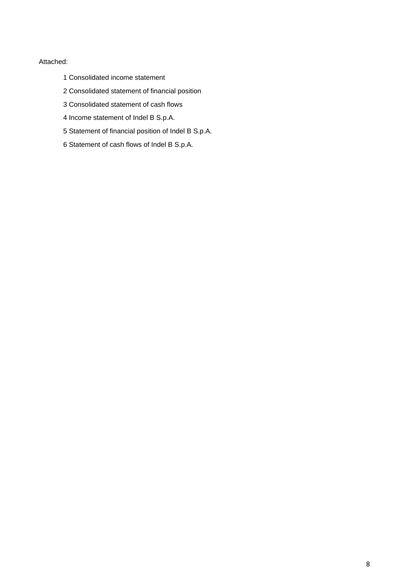# Attached:

- 1 Consolidated income statement
- 2 Consolidated statement of financial position
- 3 Consolidated statement of cash flows
- 4 Income statement of Indel B S.p.A.
- 5 Statement of financial position of Indel B S.p.A.
- 6 Statement of cash flows of Indel B S.p.A.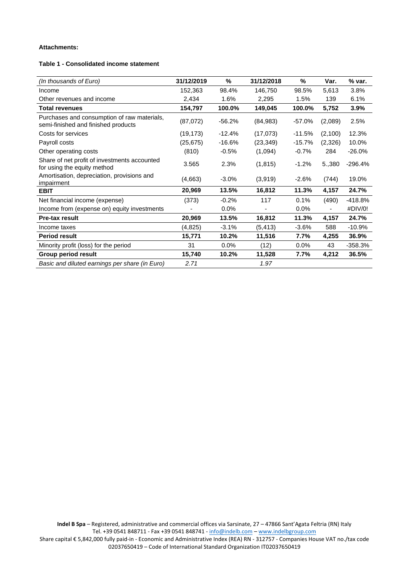## **Attachments:**

## **Table 1 - Consolidated income statement**

| (In thousands of Euro)                                                             | 31/12/2019 | %        | 31/12/2018 | %         | Var.                     | % var.    |
|------------------------------------------------------------------------------------|------------|----------|------------|-----------|--------------------------|-----------|
| Income                                                                             | 152,363    | 98.4%    | 146,750    | 98.5%     | 5,613                    | 3.8%      |
| Other revenues and income                                                          | 2,434      | 1.6%     | 2,295      | 1.5%      | 139                      | 6.1%      |
| <b>Total revenues</b>                                                              | 154,797    | 100.0%   | 149,045    | 100.0%    | 5,752                    | 3.9%      |
| Purchases and consumption of raw materials,<br>semi-finished and finished products | (87,072)   | $-56.2%$ | (84, 983)  | $-57.0%$  | (2,089)                  | 2.5%      |
| Costs for services                                                                 | (19, 173)  | $-12.4%$ | (17,073)   | $-11.5%$  | (2,100)                  | 12.3%     |
| Payroll costs                                                                      | (25, 675)  | $-16.6%$ | (23, 349)  | $-15.7\%$ | (2,326)                  | 10.0%     |
| Other operating costs                                                              | (810)      | $-0.5%$  | (1,094)    | $-0.7%$   | 284                      | $-26.0%$  |
| Share of net profit of investments accounted<br>for using the equity method        | 3.565      | 2.3%     | (1, 815)   | $-1.2%$   | 5.,380                   | $-296.4%$ |
| Amortisation, depreciation, provisions and<br>impairment                           | (4,663)    | $-3.0\%$ | (3,919)    | $-2.6%$   | (744)                    | 19.0%     |
| <b>EBIT</b>                                                                        | 20,969     | 13.5%    | 16,812     | 11.3%     | 4,157                    | 24.7%     |
| Net financial income (expense)                                                     | (373)      | $-0.2%$  | 117        | 0.1%      | (490)                    | $-418.8%$ |
| Income from (expense on) equity investments                                        |            | 0.0%     |            | 0.0%      | $\overline{\phantom{a}}$ | #DIV/0!   |
| <b>Pre-tax result</b>                                                              | 20,969     | 13.5%    | 16,812     | 11.3%     | 4,157                    | 24.7%     |
| Income taxes                                                                       | (4,825)    | $-3.1%$  | (5, 413)   | $-3.6%$   | 588                      | $-10.9%$  |
| <b>Period result</b>                                                               | 15,771     | 10.2%    | 11,516     | 7.7%      | 4,255                    | 36.9%     |
| Minority profit (loss) for the period                                              | 31         | 0.0%     | (12)       | $0.0\%$   | 43                       | $-358.3%$ |
| <b>Group period result</b>                                                         | 15,740     | 10.2%    | 11,528     | 7.7%      | 4,212                    | 36.5%     |
| Basic and diluted earnings per share (in Euro)                                     | 2.71       |          | 1.97       |           |                          |           |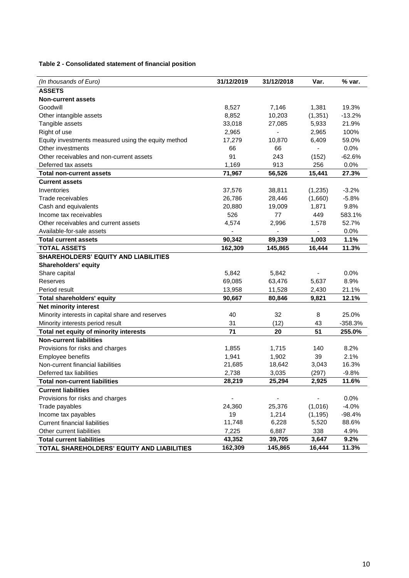**Table 2 - Consolidated statement of financial position**

| (In thousands of Euro)                              | 31/12/2019 | 31/12/2018 | Var.     | % var.    |
|-----------------------------------------------------|------------|------------|----------|-----------|
| <b>ASSETS</b>                                       |            |            |          |           |
| <b>Non-current assets</b>                           |            |            |          |           |
| Goodwill                                            | 8,527      | 7,146      | 1,381    | 19.3%     |
| Other intangible assets                             | 8,852      | 10,203     | (1, 351) | $-13.2%$  |
| Tangible assets                                     | 33,018     | 27,085     | 5,933    | 21.9%     |
| Right of use                                        | 2,965      |            | 2,965    | 100%      |
| Equity investments measured using the equity method | 17,279     | 10,870     | 6,409    | 59.0%     |
| Other investments                                   | 66         | 66         |          | 0.0%      |
| Other receivables and non-current assets            | 91         | 243        | (152)    | $-62.6%$  |
| Deferred tax assets                                 | 1,169      | 913        | 256      | 0.0%      |
| <b>Total non-current assets</b>                     | 71,967     | 56,526     | 15,441   | 27.3%     |
| <b>Current assets</b>                               |            |            |          |           |
| Inventories                                         | 37,576     | 38,811     | (1, 235) | $-3.2%$   |
| Trade receivables                                   | 26,786     | 28,446     | (1,660)  | $-5.8%$   |
| Cash and equivalents                                | 20,880     | 19,009     | 1,871    | 9.8%      |
| Income tax receivables                              | 526        | 77         | 449      | 583.1%    |
| Other receivables and current assets                | 4,574      | 2,996      | 1,578    | 52.7%     |
| Available-for-sale assets                           |            |            |          | 0.0%      |
| <b>Total current assets</b>                         | 90,342     | 89,339     | 1,003    | 1.1%      |
| <b>TOTAL ASSETS</b>                                 | 162,309    | 145,865    | 16,444   | 11.3%     |
| <b>SHAREHOLDERS' EQUITY AND LIABILITIES</b>         |            |            |          |           |
| <b>Shareholders' equity</b>                         |            |            |          |           |
| Share capital                                       | 5,842      | 5,842      |          | 0.0%      |
| Reserves                                            | 69,085     | 63,476     | 5,637    | 8.9%      |
| Period result                                       | 13,958     | 11,528     | 2,430    | 21.1%     |
| <b>Total shareholders' equity</b>                   | 90,667     | 80,846     | 9,821    | 12.1%     |
| Net minority interest                               |            |            |          |           |
| Minority interests in capital share and reserves    | 40         | 32         | 8        | 25.0%     |
| Minority interests period result                    | 31         | (12)       | 43       | $-358.3%$ |
| Total net equity of minority interests              | 71         | 20         | 51       | 255.0%    |
| <b>Non-current liabilities</b>                      |            |            |          |           |
| Provisions for risks and charges                    | 1,855      | 1,715      | 140      | 8.2%      |
| Employee benefits                                   | 1,941      | 1,902      | 39       | 2.1%      |
| Non-current financial liabilities                   | 21,685     | 18,642     | 3,043    | 16.3%     |
| Deferred tax liabilities                            | 2,738      | 3,035      | (297)    | $-9.8%$   |
| <b>Total non-current liabilities</b>                | 28,219     | 25,294     | 2,925    | 11.6%     |
| <b>Current liabilities</b>                          |            |            |          |           |
| Provisions for risks and charges                    |            |            |          | 0.0%      |
| Trade payables                                      | 24,360     | 25,376     | (1,016)  | $-4.0%$   |
| Income tax payables                                 | 19         | 1,214      | (1, 195) | $-98.4%$  |
| <b>Current financial liabilities</b>                | 11,748     | 6,228      | 5,520    | 88.6%     |
| Other current liabilities                           | 7,225      | 6,887      | 338      | 4.9%      |
| <b>Total current liabilities</b>                    | 43,352     | 39,705     | 3,647    | 9.2%      |
| TOTAL SHAREHOLDERS' EQUITY AND LIABILITIES          | 162,309    | 145,865    | 16,444   | 11.3%     |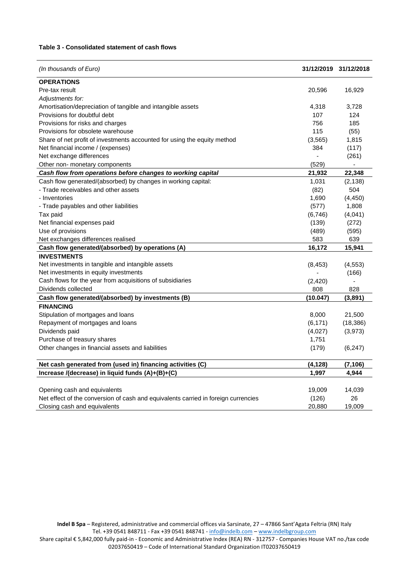## **Table 3 - Consolidated statement of cash flows**

| (In thousands of Euro)                                                             |          | 31/12/2019 31/12/2018 |
|------------------------------------------------------------------------------------|----------|-----------------------|
| <b>OPERATIONS</b>                                                                  |          |                       |
| Pre-tax result                                                                     | 20,596   | 16,929                |
| Adjustments for:                                                                   |          |                       |
| Amortisation/depreciation of tangible and intangible assets                        | 4,318    | 3,728                 |
| Provisions for doubtful debt                                                       | 107      | 124                   |
| Provisions for risks and charges                                                   | 756      | 185                   |
| Provisions for obsolete warehouse                                                  | 115      | (55)                  |
| Share of net profit of investments accounted for using the equity method           | (3, 565) | 1,815                 |
| Net financial income / (expenses)                                                  | 384      | (117)                 |
| Net exchange differences                                                           |          | (261)                 |
| Other non- monetary components                                                     | (529)    | ÷,                    |
| Cash flow from operations before changes to working capital                        | 21,932   | 22,348                |
| Cash flow generated/(absorbed) by changes in working capital:                      | 1,031    | (2, 138)              |
| - Trade receivables and other assets                                               | (82)     | 504                   |
| - Inventories                                                                      | 1,690    | (4, 450)              |
| - Trade payables and other liabilities                                             | (577)    | 1,808                 |
| Tax paid                                                                           | (6,746)  | (4,041)               |
| Net financial expenses paid                                                        | (139)    | (272)                 |
| Use of provisions                                                                  | (489)    | (595)                 |
| Net exchanges differences realised                                                 | 583      | 639                   |
| Cash flow generated/(absorbed) by operations (A)                                   | 16,172   | 15,941                |
| <b>INVESTMENTS</b>                                                                 |          |                       |
| Net investments in tangible and intangible assets                                  | (8, 453) | (4, 553)              |
| Net investments in equity investments                                              |          | (166)                 |
| Cash flows for the year from acquisitions of subsidiaries                          | (2, 420) |                       |
| Dividends collected                                                                | 808      | 828                   |
| Cash flow generated/(absorbed) by investments (B)                                  | (10.047) | (3,891)               |
| <b>FINANCING</b>                                                                   |          |                       |
| Stipulation of mortgages and loans                                                 | 8,000    | 21,500                |
| Repayment of mortgages and loans                                                   | (6, 171) | (18, 386)             |
| Dividends paid                                                                     | (4,027)  | (3,973)               |
| Purchase of treasury shares                                                        | 1,751    |                       |
| Other changes in financial assets and liabilities                                  | (179)    | (6, 247)              |
| Net cash generated from (used in) financing activities (C)                         | (4, 128) | (7, 106)              |
| Increase /(decrease) in liquid funds (A)+(B)+(C)                                   | 1,997    | 4,944                 |
|                                                                                    |          |                       |
| Opening cash and equivalents                                                       | 19,009   | 14,039                |
| Net effect of the conversion of cash and equivalents carried in foreign currencies | (126)    | 26                    |
| Closing cash and equivalents                                                       | 20,880   | 19,009                |

**Indel B Spa** – Registered, administrative and commercial offices via Sarsinate, 27 – 47866 Sant'Agata Feltria (RN) Italy Tel. +39 0541 848711 - Fax +39 0541 848741 - <u>[info@indelb.com](mailto:info@indelb.com)</u> – <u>[www.indelbgroup.com](http://www.indelbgroup.com/)</u> Share capital € 5,842,000 fully paid-in - Economic and Administrative Index (REA) RN - 312757 - Companies House VAT no./tax code 02037650419 – Code of International Standard Organization IT02037650419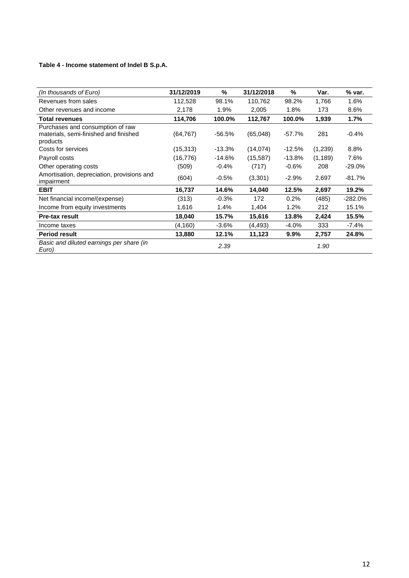# **Table 4 - Income statement of Indel B S.p.A.**

| (In thousands of Euro)                                   | 31/12/2019 | %        | 31/12/2018 | %        | Var.     | % var.    |
|----------------------------------------------------------|------------|----------|------------|----------|----------|-----------|
| Revenues from sales                                      | 112,528    | 98.1%    | 110,762    | 98.2%    | 1,766    | 1.6%      |
| Other revenues and income                                | 2,178      | 1.9%     | 2,005      | 1.8%     | 173      | 8.6%      |
| <b>Total revenues</b>                                    | 114,706    | 100.0%   | 112,767    | 100.0%   | 1,939    | 1.7%      |
| Purchases and consumption of raw                         |            |          |            |          |          |           |
| materials, semi-finished and finished                    | (64, 767)  | -56.5%   | (65,048)   | $-57.7%$ | 281      | $-0.4%$   |
| products                                                 |            |          |            |          |          |           |
| Costs for services                                       | (15, 313)  | $-13.3%$ | (14, 074)  | $-12.5%$ | (1,239)  | 8.8%      |
| Payroll costs                                            | (16, 776)  | $-14.6%$ | (15, 587)  | $-13.8%$ | (1, 189) | 7.6%      |
| Other operating costs                                    | (509)      | $-0.4%$  | (717)      | $-0.6%$  | 208      | $-29.0%$  |
| Amortisation, depreciation, provisions and<br>impairment | (604)      | $-0.5%$  | (3,301)    | $-2.9%$  | 2,697    | $-81.7%$  |
| <b>EBIT</b>                                              | 16,737     | 14.6%    | 14,040     | 12.5%    | 2,697    | 19.2%     |
| Net financial income/(expense)                           | (313)      | $-0.3%$  | 172        | 0.2%     | (485)    | $-282.0%$ |
| Income from equity investments                           | 1,616      | 1.4%     | 1,404      | 1.2%     | 212      | 15.1%     |
| <b>Pre-tax result</b>                                    | 18,040     | 15.7%    | 15,616     | 13.8%    | 2,424    | 15.5%     |
| Income taxes                                             | (4, 160)   | $-3.6\%$ | (4, 493)   | $-4.0%$  | 333      | $-7.4\%$  |
| <b>Period result</b>                                     | 13,880     | 12.1%    | 11,123     | 9.9%     | 2,757    | 24.8%     |
| Basic and diluted earnings per share (in<br>Euro)        |            | 2.39     |            |          | 1.90     |           |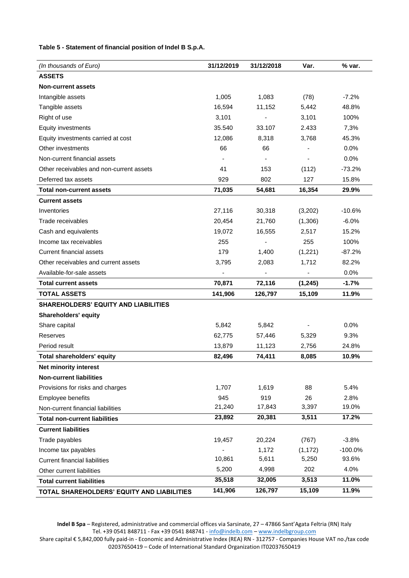# **Table 5 - Statement of financial position of Indel B S.p.A.**

| (In thousands of Euro)                      | 31/12/2019     | 31/12/2018 | Var.     | % var.    |
|---------------------------------------------|----------------|------------|----------|-----------|
| <b>ASSETS</b>                               |                |            |          |           |
| <b>Non-current assets</b>                   |                |            |          |           |
| Intangible assets                           | 1,005          | 1,083      | (78)     | $-7.2%$   |
| Tangible assets                             | 16,594         | 11,152     | 5,442    | 48.8%     |
| Right of use                                | 3,101          |            | 3,101    | 100%      |
| Equity investments                          | 35.540         | 33.107     | 2.433    | 7,3%      |
| Equity investments carried at cost          | 12,086         | 8,318      | 3,768    | 45.3%     |
| Other investments                           | 66             | 66         |          | 0.0%      |
| Non-current financial assets                | $\overline{a}$ |            |          | 0.0%      |
| Other receivables and non-current assets    | 41             | 153        | (112)    | $-73.2%$  |
| Deferred tax assets                         | 929            | 802        | 127      | 15.8%     |
| <b>Total non-current assets</b>             | 71,035         | 54,681     | 16,354   | 29.9%     |
| <b>Current assets</b>                       |                |            |          |           |
| Inventories                                 | 27,116         | 30,318     | (3,202)  | $-10.6%$  |
| Trade receivables                           | 20,454         | 21,760     | (1,306)  | $-6.0%$   |
| Cash and equivalents                        | 19,072         | 16,555     | 2,517    | 15.2%     |
| Income tax receivables                      | 255            |            | 255      | 100%      |
| <b>Current financial assets</b>             | 179            | 1,400      | (1,221)  | $-87.2%$  |
| Other receivables and current assets        | 3,795          | 2,083      | 1,712    | 82.2%     |
| Available-for-sale assets                   |                |            |          | 0.0%      |
| <b>Total current assets</b>                 | 70,871         | 72,116     | (1, 245) | $-1.7%$   |
| <b>TOTAL ASSETS</b>                         | 141,906        | 126,797    | 15,109   | 11.9%     |
| <b>SHAREHOLDERS' EQUITY AND LIABILITIES</b> |                |            |          |           |
| <b>Shareholders' equity</b>                 |                |            |          |           |
| Share capital                               | 5,842          | 5,842      |          | 0.0%      |
| Reserves                                    | 62,775         | 57,446     | 5,329    | 9.3%      |
| Period result                               | 13,879         | 11,123     | 2,756    | 24.8%     |
| <b>Total shareholders' equity</b>           | 82,496         | 74,411     | 8,085    | 10.9%     |
| <b>Net minority interest</b>                |                |            |          |           |
| <b>Non-current liabilities</b>              |                |            |          |           |
| Provisions for risks and charges            | 1,707          | 1,619      | 88       | 5.4%      |
| Employee benefits                           | 945            | 919        | 26       | 2.8%      |
| Non-current financial liabilities           | 21,240         | 17,843     | 3,397    | 19.0%     |
| <b>Total non-current liabilities</b>        | 23,892         | 20,381     | 3,511    | 17.2%     |
| <b>Current liabilities</b>                  |                |            |          |           |
| Trade payables                              | 19,457         | 20,224     | (767)    | $-3.8%$   |
| Income tax payables                         |                | 1,172      | (1, 172) | $-100.0%$ |
| <b>Current financial liabilities</b>        | 10,861         | 5,611      | 5,250    | 93.6%     |
| Other current liabilities                   | 5,200          | 4,998      | 202      | 4.0%      |
| <b>Total current liabilities</b>            | 35,518         | 32,005     | 3,513    | 11.0%     |
| TOTAL SHAREHOLDERS' EQUITY AND LIABILITIES  | 141,906        | 126,797    | 15,109   | 11.9%     |

**Indel B Spa** – Registered, administrative and commercial offices via Sarsinate, 27 – 47866 Sant'Agata Feltria (RN) Italy Tel. +39 0541 848711 - Fax +39 0541 848741 - <u>[info@indelb.com](mailto:info@indelb.com)</u> – <u>[www.indelbgroup.com](http://www.indelbgroup.com/)</u>

Share capital € 5,842,000 fully paid-in - Economic and Administrative Index (REA) RN - 312757 - Companies House VAT no./tax code 02037650419 – Code of International Standard Organization IT02037650419